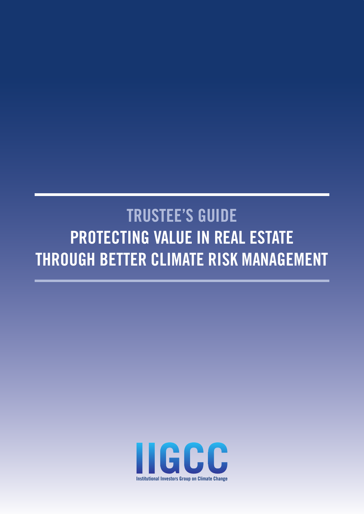# TRUSTEE'S GUIDE PROTECTING VALUE IN REAL ESTATE THROUGH BETTER CLIMATE RISK MANAGEMENT

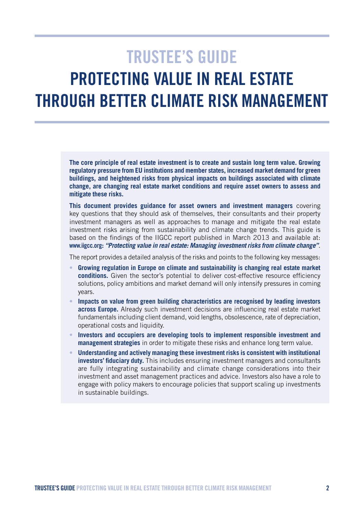## TRUSTEE'S GUIDE PROTECTING VALUE IN REAL ESTATE THROUGH BETTER CLIMATE RISK MANAGEMENT

**The core principle of real estate investment is to create and sustain long term value. Growing regulatory pressure from EU institutions and member states, increased market demand for green buildings, and heightened risks from physical impacts on buildings associated with climate change, are changing real estate market conditions and require asset owners to assess and mitigate these risks.**

**This document provides guidance for asset owners and investment managers** covering key questions that they should ask of themselves, their consultants and their property investment managers as well as approaches to manage and mitigate the real estate investment risks arising from sustainability and climate change trends. This guide is based on the findings of the IIGCC report published in March 2013 and available at: <www.iigcc.org>**:** *"Protecting value in real estate: Managing investment risks from climate change"*.

The report provides a detailed analysis of the risks and points to the following key messages:

- • **Growing regulation in Europe on climate and sustainability is changing real estate market conditions.** Given the sector's potential to deliver cost-effective resource efficiency solutions, policy ambitions and market demand will only intensify pressures in coming years.
- Impacts on value from green building characteristics are recognised by leading investors **across Europe.** Already such investment decisions are influencing real estate market fundamentals including client demand, void lengths, obsolescence, rate of depreciation, operational costs and liquidity.
- Investors and occupiers are developing tools to implement responsible investment and **management strategies** in order to mitigate these risks and enhance long term value.
- • **Understanding and actively managing these investment risks is consistent with institutional investors' fiduciary duty.** This includes ensuring investment managers and consultants are fully integrating sustainability and climate change considerations into their investment and asset management practices and advice. Investors also have a role to engage with policy makers to encourage policies that support scaling up investments in sustainable buildings.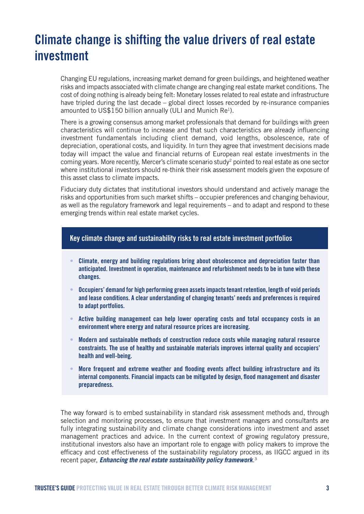## Climate change is shifting the value drivers of real estate investment

Changing EU regulations, increasing market demand for green buildings, and heightened weather risks and impacts associated with climate change are changing real estate market conditions. The cost of doing nothing is already being felt: Monetary losses related to real estate and infrastructure have tripled during the last decade – global direct losses recorded by re-insurance companies amounted to US\$150 billion annually (ULI and Munich Re<sup>1</sup>).

There is a growing consensus among market professionals that demand for buildings with green characteristics will continue to increase and that such characteristics are already influencing investment fundamentals including client demand, void lengths, obsolescence, rate of depreciation, operational costs, and liquidity. In turn they agree that investment decisions made today will impact the value and financial returns of European real estate investments in the coming years. More recently, Mercer's climate scenario study<sup>2</sup> pointed to real estate as one sector where institutional investors should re-think their risk assessment models given the exposure of this asset class to climate impacts.

Fiduciary duty dictates that institutional investors should understand and actively manage the risks and opportunities from such market shifts – occupier preferences and changing behaviour, as well as the regulatory framework and legal requirements – and to adapt and respond to these emerging trends within real estate market cycles.

#### Key climate change and sustainability risks to real estate investment portfolios

- Climate, energy and building regulations bring about obsolescence and depreciation faster than anticipated. Investment in operation, maintenance and refurbishment needs to be in tune with these changes.
- • Occupiers' demand for high performing green assets impacts tenant retention, length of void periods and lease conditions. A clear understanding of changing tenants' needs and preferences is required to adapt portfolios.
- Active building management can help lower operating costs and total occupancy costs in an environment where energy and natural resource prices are increasing.
- Modern and sustainable methods of construction reduce costs while managing natural resource constraints. The use of healthy and sustainable materials improves internal quality and occupiers' health and well-being.
- More frequent and extreme weather and flooding events affect building infrastructure and its internal components. Financial impacts can be mitigated by design, flood management and disaster preparedness.

The way forward is to embed sustainability in standard risk assessment methods and, through selection and monitoring processes, to ensure that investment managers and consultants are fully integrating sustainability and climate change considerations into investment and asset management practices and advice. In the current context of growing regulatory pressure, institutional investors also have an important role to engage with policy makers to improve the efficacy and cost effectiveness of the sustainability regulatory process, as IIGCC argued in its recent paper, *[Enhancing the real estate sustainability policy framework](http://www.iigcc.org/publications/publication/enhancing-the-real-estate-sustainability-policy-framework)*. 3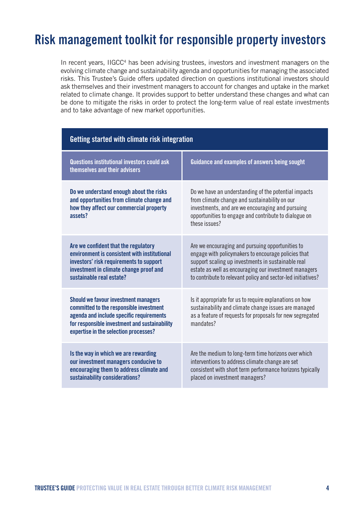### Risk management toolkit for responsible property investors

In recent years, IIGCC<sup>4</sup> has been advising trustees, investors and investment managers on the evolving climate change and sustainability agenda and opportunities for managing the associated risks. This Trustee's Guide offers updated direction on questions institutional investors should ask themselves and their investment managers to account for changes and uptake in the market related to climate change. It provides support to better understand these changes and what can be done to mitigate the risks in order to protect the long-term value of real estate investments and to take advantage of new market opportunities.

| Getting started with climate risk integration                                                                                                                                                                                |                                                                                                                                                                                                                                                                                        |  |
|------------------------------------------------------------------------------------------------------------------------------------------------------------------------------------------------------------------------------|----------------------------------------------------------------------------------------------------------------------------------------------------------------------------------------------------------------------------------------------------------------------------------------|--|
| Questions institutional investors could ask<br>themselves and their advisers                                                                                                                                                 | Guidance and examples of answers being sought                                                                                                                                                                                                                                          |  |
| Do we understand enough about the risks<br>and opportunities from climate change and<br>how they affect our commercial property<br>assets?                                                                                   | Do we have an understanding of the potential impacts<br>from climate change and sustainability on our<br>investments, and are we encouraging and pursuing<br>opportunities to engage and contribute to dialogue on<br>these issues?                                                    |  |
| Are we confident that the regulatory<br>environment is consistent with institutional<br>investors' risk requirements to support<br>investment in climate change proof and<br>sustainable real estate?                        | Are we encouraging and pursuing opportunities to<br>engage with policymakers to encourage policies that<br>support scaling up investments in sustainable real<br>estate as well as encouraging our investment managers<br>to contribute to relevant policy and sector-led initiatives? |  |
| <b>Should we favour investment managers</b><br>committed to the responsible investment<br>agenda and include specific requirements<br>for responsible investment and sustainability<br>expertise in the selection processes? | Is it appropriate for us to require explanations on how<br>sustainability and climate change issues are managed<br>as a feature of requests for proposals for new segregated<br>mandates?                                                                                              |  |
| Is the way in which we are rewarding<br>our investment managers conducive to<br>encouraging them to address climate and<br>sustainability considerations?                                                                    | Are the medium to long-term time horizons over which<br>interventions to address climate change are set<br>consistent with short term performance horizons typically<br>placed on investment managers?                                                                                 |  |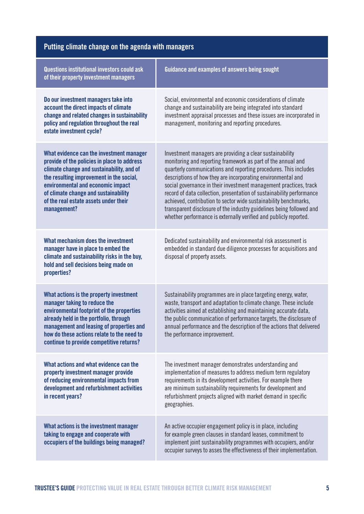### Putting climate change on the agenda with managers

| <b>Questions institutional investors could ask</b><br>of their property investment managers                                                                                                                                                                                                                           | Guidance and examples of answers being sought                                                                                                                                                                                                                                                                                                                                                                                                                                                                                                                                                                               |
|-----------------------------------------------------------------------------------------------------------------------------------------------------------------------------------------------------------------------------------------------------------------------------------------------------------------------|-----------------------------------------------------------------------------------------------------------------------------------------------------------------------------------------------------------------------------------------------------------------------------------------------------------------------------------------------------------------------------------------------------------------------------------------------------------------------------------------------------------------------------------------------------------------------------------------------------------------------------|
| Do our investment managers take into<br>account the direct impacts of climate<br>change and related changes in sustainability<br>policy and regulation throughout the real<br>estate investment cycle?                                                                                                                | Social, environmental and economic considerations of climate<br>change and sustainability are being integrated into standard<br>investment appraisal processes and these issues are incorporated in<br>management, monitoring and reporting procedures.                                                                                                                                                                                                                                                                                                                                                                     |
| What evidence can the investment manager<br>provide of the policies in place to address<br>climate change and sustainability, and of<br>the resulting improvement in the social,<br>environmental and economic impact<br>of climate change and sustainability<br>of the real estate assets under their<br>management? | Investment managers are providing a clear sustainability<br>monitoring and reporting framework as part of the annual and<br>quarterly communications and reporting procedures. This includes<br>descriptions of how they are incorporating environmental and<br>social governance in their investment management practices, track<br>record of data collection, presentation of sustainability performance<br>achieved, contribution to sector wide sustainability benchmarks,<br>transparent disclosure of the industry guidelines being followed and<br>whether performance is externally verified and publicly reported. |
| What mechanism does the investment<br>manager have in place to embed the<br>climate and sustainability risks in the buy,<br>hold and sell decisions being made on<br>properties?                                                                                                                                      | Dedicated sustainability and environmental risk assessment is<br>embedded in standard due diligence processes for acquisitions and<br>disposal of property assets.                                                                                                                                                                                                                                                                                                                                                                                                                                                          |
| What actions is the property investment<br>manager taking to reduce the<br>environmental footprint of the properties<br>already held in the portfolio, through<br>management and leasing of properties and<br>how do these actions relate to the need to<br>continue to provide competitive returns?                  | Sustainability programmes are in place targeting energy, water,<br>waste, transport and adaptation to climate change. These include<br>activities aimed at establishing and maintaining accurate data,<br>the public communication of performance targets, the disclosure of<br>annual performance and the description of the actions that delivered<br>the performance improvement.                                                                                                                                                                                                                                        |
| What actions and what evidence can the<br>property investment manager provide<br>of reducing environmental impacts from<br>development and refurbishment activities<br>in recent years?                                                                                                                               | The investment manager demonstrates understanding and<br>implementation of measures to address medium term regulatory<br>requirements in its development activities. For example there<br>are minimum sustainability requirements for development and<br>refurbishment projects aligned with market demand in specific<br>geographies.                                                                                                                                                                                                                                                                                      |
| What actions is the investment manager<br>taking to engage and cooperate with<br>occupiers of the buildings being managed?                                                                                                                                                                                            | An active occupier engagement policy is in place, including<br>for example green clauses in standard leases, commitment to<br>implement joint sustainability programmes with occupiers, and/or<br>occupier surveys to asses the effectiveness of their implementation.                                                                                                                                                                                                                                                                                                                                                      |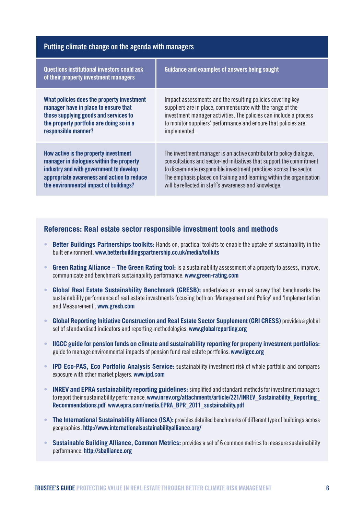| Putting climate change on the agenda with managers                                   |                                                                      |
|--------------------------------------------------------------------------------------|----------------------------------------------------------------------|
| Questions institutional investors could ask<br>of their property investment managers | Guidance and examples of answers being sought                        |
| What policies does the property investment                                           | Impact assessments and the resulting policies covering key           |
| manager have in place to ensure that                                                 | suppliers are in place, commensurate with the range of the           |
| those supplying goods and services to                                                | investment manager activities. The policies can include a process    |
| the property portfolio are doing so in a                                             | to monitor suppliers' performance and ensure that policies are       |
| responsible manner?                                                                  | implemented.                                                         |
| How active is the property investment                                                | The investment manager is an active contributor to policy dialogue,  |
| manager in dialogues within the property                                             | consultations and sector-led initiatives that support the commitment |
| industry and with government to develop                                              | to disseminate responsible investment practices across the sector.   |
| appropriate awareness and action to reduce                                           | The emphasis placed on training and learning within the organisation |
| the environmental impact of buildings?                                               | will be reflected in staff's awareness and knowledge.                |

#### **References: Real estate sector responsible investment tools and methods**

- • **Better Buildings Partnerships toolkits:** Hands on, practical toolkits to enable the uptake of sustainability in the built environment. <www.betterbuildingspartnership.co.uk/media/tollkits>
- **Green Rating Alliance The Green Rating tool:** is a sustainability assessment of a property to assess, improve, communicate and benchmark sustainability performance. [www.green-rating.com](http://www.green-rating.com)
- • **Global Real Estate Sustainability Benchmark (GRESB):** undertakes an annual survey that benchmarks the sustainability performance of real estate investments focusing both on 'Management and Policy' and 'Implementation and Measurement'. <www.gresb.com>
- **Global Reporting Initiative Construction and Real Estate Sector Supplement (GRI CRESS)** provides a global set of standardised indicators and reporting methodologies. <www.globalreporting.org>
- • **IIGCC guide for pension funds on climate and sustainability reporting for property investment portfolios:**  guide to manage environmental impacts of pension fund real estate portfolios.<www.iigcc.org>
- • **IPD Eco-PAS, Eco Portfolio Analysis Service:** sustainability investment risk of whole portfolio and compares exposure with other market players.<www.ipd.com>
- **INREV and EPRA sustainability reporting guidelines:** simplified and standard methods for investment managers to report their sustainability performance. www.inrev.org/attachments/article/221/INREV\_Sustainability\_Reporting [Recommendations.pdf](www.inrev.org/attachments/article/221/INREV_Sustainability_Reporting_Recommendations.pdf ) [www.epra.com/media.EPRA\\_BPR\\_2011\\_sustainability.pdf](www.epra.com/media.EPRA_BPR_2011_sustainability.pdf)
- **The International Sustainability Alliance (ISA):** provides detailed benchmarks of different type of buildings across geographies. <http://www.internationalsustainabilityalliance.org/>
- **Sustainable Building Alliance, Common Metrics:** provides a set of 6 common metrics to measure sustainability performance. http://sballiance.org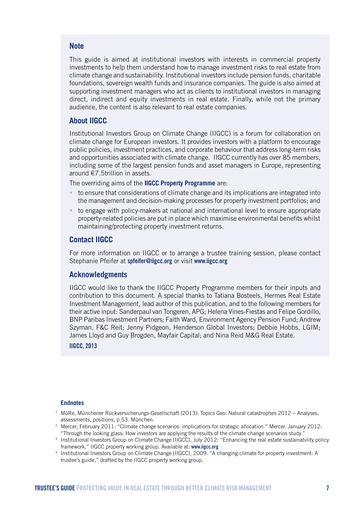#### **Note**

This guide is aimed at institutional investors with interests in commercial property investments to help them understand how to manage investment risks to real estate from climate change and sustainability. Institutional investors include pension funds, charitable foundations, sovereign wealth funds and insurance companies. The guide is also aimed at supporting investment managers who act as clients to institutional investors in managing direct, indirect and equity investments in real estate. Finally, while not the primary audience, the content is also relevant to real estate companies.

#### **About IIGCC**

Institutional Investors Group on Climate Change (IIGCC) is a forum for collaboration on climate change for European investors. It provides investors with a platform to encourage public policies, investment practices, and corporate behaviour that address long-term risks and opportunities associated with climate change. IIGCC currently has over 85 members, including some of the largest pension funds and asset managers in Europe, representing around €7.5trillion in assets.

The overriding aims of the **IIGCC Property Programme** are:

- to ensure that considerations of climate change and its implications are integrated into the management and decision-making processes for property investment portfolios; and
- to engage with policy-makers at national and international level to ensure appropriate property-related policies are put in place which maximise environmental benefits whilst maintaining/protecting property investment returns.

#### **Contact IIGCC**

For more information on IIGCC or to arrange a trustee training session, please contact Stephanie Pfeifer at [spfeifer@iigcc.org](mailto:spfeifer@iigcc.org) or visit <www.iigcc.org>

#### **Acknowledgments**

IIGCC would like to thank the IIGCC Property Programme members for their inputs and contribution to this document. A special thanks to Tatiana Bosteels, Hermes Real Estate Investment Management, lead author of this publication, and to the following members for their active input: Sanderpaul van Tongeren, APG; Helena Vines-Fiestas and Felipe Gordillo, BNP Paribas Investment Partners; Faith Ward, Environment Agency Pension Fund; Andrew Szyman, F&C Reit; Jenny Pidgeon, Henderson Global Investors; Debbie Hobbs, LGIM; James Lloyd and Guy Brogden, Mayfair Capital; and Nina Reid M&G Real Estate.

IIGCC, 2013

#### **Endnotes**

- $1$  MüRe, Münchener Rückversicherungs-Gesellschaft (2013): Topics Geo: Natural catastrophes 2012 Analyses, assessments, positions, p.53. München.
- <sup>2</sup> Mercer, February 2011: "Climate change scenarios: implications for strategic allocation." Mercer, January 2012: "Through the looking glass: How investors are applying the results of the climate change scenarios study."
- <sup>3</sup> Institutional Investors Group on Climate Change (IIGCC), July 2012: "Enhancing the real estate sustainability policy framework," IIGCC property working group. Available at: <www.iigcc.org>
- <sup>4</sup> Institutional Investors Group on Climate Change (IIGCC), 2009: "A changing climate for property investment: A trustee's guide," drafted by the IIGCC property working group.